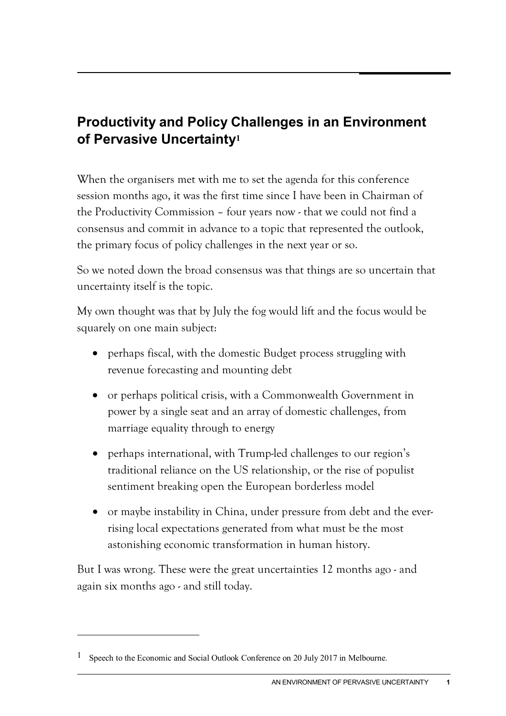# **Productivity and Policy Challenges in an Environment of Pervasive Uncertainty[1](#page-0-0)**

When the organisers met with me to set the agenda for this conference session months ago, it was the first time since I have been in Chairman of the Productivity Commission – four years now - that we could not find a consensus and commit in advance to a topic that represented the outlook, the primary focus of policy challenges in the next year or so.

So we noted down the broad consensus was that things are so uncertain that uncertainty itself is the topic.

My own thought was that by July the fog would lift and the focus would be squarely on one main subject:

- perhaps fiscal, with the domestic Budget process struggling with revenue forecasting and mounting debt
- or perhaps political crisis, with a Commonwealth Government in power by a single seat and an array of domestic challenges, from marriage equality through to energy
- perhaps international, with Trump-led challenges to our region's traditional reliance on the US relationship, or the rise of populist sentiment breaking open the European borderless model
- or maybe instability in China, under pressure from debt and the everrising local expectations generated from what must be the most astonishing economic transformation in human history.

But I was wrong. These were the great uncertainties 12 months ago - and again six months ago - and still today.

 $\ddot{\phantom{a}}$ 

<span id="page-0-0"></span><sup>&</sup>lt;sup>1</sup> Speech to the Economic and Social Outlook Conference on 20 July 2017 in Melbourne.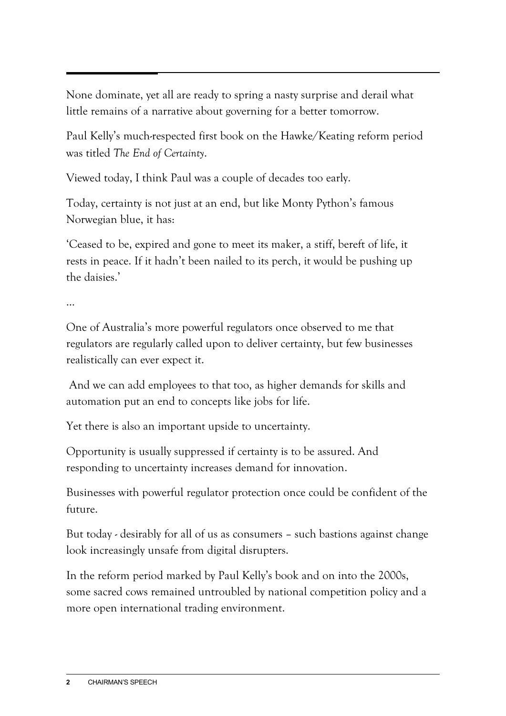None dominate, yet all are ready to spring a nasty surprise and derail what little remains of a narrative about governing for a better tomorrow.

Paul Kelly's much-respected first book on the Hawke/Keating reform period was titled *The End of Certainty*.

Viewed today, I think Paul was a couple of decades too early.

Today, certainty is not just at an end, but like Monty Python's famous Norwegian blue, it has:

'Ceased to be, expired and gone to meet its maker, a stiff, bereft of life, it rests in peace. If it hadn't been nailed to its perch, it would be pushing up the daisies.'

…

One of Australia's more powerful regulators once observed to me that regulators are regularly called upon to deliver certainty, but few businesses realistically can ever expect it.

And we can add employees to that too, as higher demands for skills and automation put an end to concepts like jobs for life.

Yet there is also an important upside to uncertainty.

Opportunity is usually suppressed if certainty is to be assured. And responding to uncertainty increases demand for innovation.

Businesses with powerful regulator protection once could be confident of the future.

But today - desirably for all of us as consumers – such bastions against change look increasingly unsafe from digital disrupters.

In the reform period marked by Paul Kelly's book and on into the 2000s, some sacred cows remained untroubled by national competition policy and a more open international trading environment.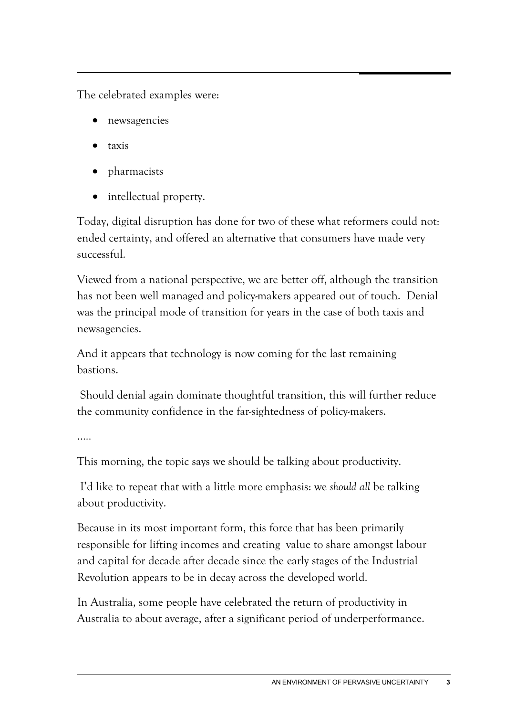The celebrated examples were:

- newsagencies
- taxis
- pharmacists
- intellectual property.

Today, digital disruption has done for two of these what reformers could not: ended certainty, and offered an alternative that consumers have made very successful.

Viewed from a national perspective, we are better off, although the transition has not been well managed and policy-makers appeared out of touch. Denial was the principal mode of transition for years in the case of both taxis and newsagencies.

And it appears that technology is now coming for the last remaining bastions.

Should denial again dominate thoughtful transition, this will further reduce the community confidence in the far-sightedness of policy-makers.

…..

This morning, the topic says we should be talking about productivity.

I'd like to repeat that with a little more emphasis: we *should all* be talking about productivity.

Because in its most important form, this force that has been primarily responsible for lifting incomes and creating value to share amongst labour and capital for decade after decade since the early stages of the Industrial Revolution appears to be in decay across the developed world.

In Australia, some people have celebrated the return of productivity in Australia to about average, after a significant period of underperformance.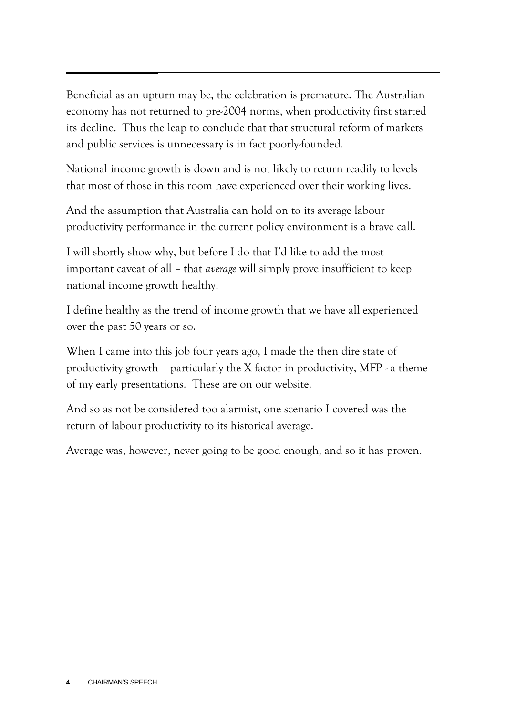Beneficial as an upturn may be, the celebration is premature. The Australian economy has not returned to pre-2004 norms, when productivity first started its decline. Thus the leap to conclude that that structural reform of markets and public services is unnecessary is in fact poorly-founded.

National income growth is down and is not likely to return readily to levels that most of those in this room have experienced over their working lives.

And the assumption that Australia can hold on to its average labour productivity performance in the current policy environment is a brave call.

I will shortly show why, but before I do that I'd like to add the most important caveat of all – that *average* will simply prove insufficient to keep national income growth healthy.

I define healthy as the trend of income growth that we have all experienced over the past 50 years or so.

When I came into this job four years ago, I made the then dire state of productivity growth – particularly the X factor in productivity, MFP - a theme of my early presentations. These are on our website.

And so as not be considered too alarmist, one scenario I covered was the return of labour productivity to its historical average.

Average was, however, never going to be good enough, and so it has proven.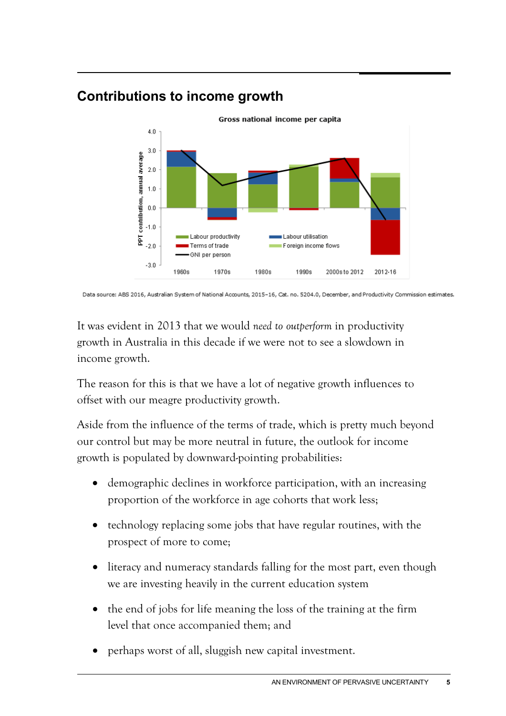## **Contributions to income growth**



Data source: ABS 2016, Australian System of National Accounts, 2015-16, Cat. no. 5204.0, December, and Productivity Commission estimates.

It was evident in 2013 that we would *need to outperform* in productivity growth in Australia in this decade if we were not to see a slowdown in income growth.

The reason for this is that we have a lot of negative growth influences to offset with our meagre productivity growth.

Aside from the influence of the terms of trade, which is pretty much beyond our control but may be more neutral in future, the outlook for income growth is populated by downward-pointing probabilities:

- demographic declines in workforce participation, with an increasing proportion of the workforce in age cohorts that work less;
- technology replacing some jobs that have regular routines, with the prospect of more to come;
- literacy and numeracy standards falling for the most part, even though we are investing heavily in the current education system
- the end of jobs for life meaning the loss of the training at the firm level that once accompanied them; and
- perhaps worst of all, sluggish new capital investment.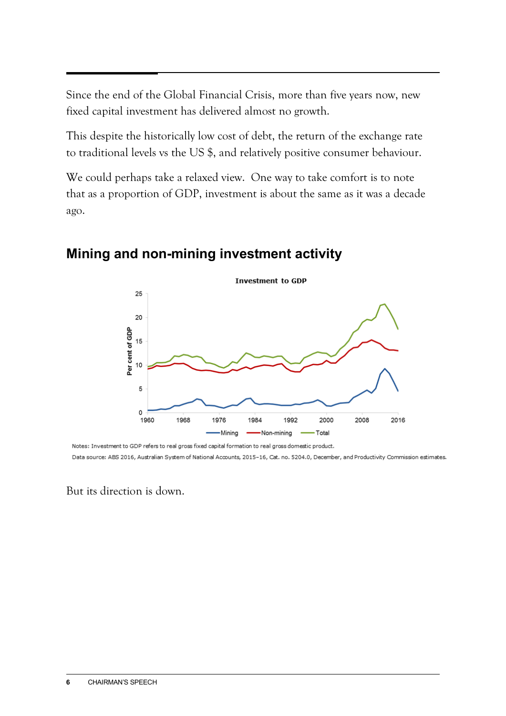Since the end of the Global Financial Crisis, more than five years now, new fixed capital investment has delivered almost no growth.

This despite the historically low cost of debt, the return of the exchange rate to traditional levels vs the US \$, and relatively positive consumer behaviour.

We could perhaps take a relaxed view. One way to take comfort is to note that as a proportion of GDP, investment is about the same as it was a decade ago.



## **Mining and non-mining investment activity**

Notes: Investment to GDP refers to real gross fixed capital formation to real gross domestic product. Data source: ABS 2016, Australian System of National Accounts, 2015-16, Cat. no. 5204.0, December, and Productivity Commission estimates.

But its direction is down.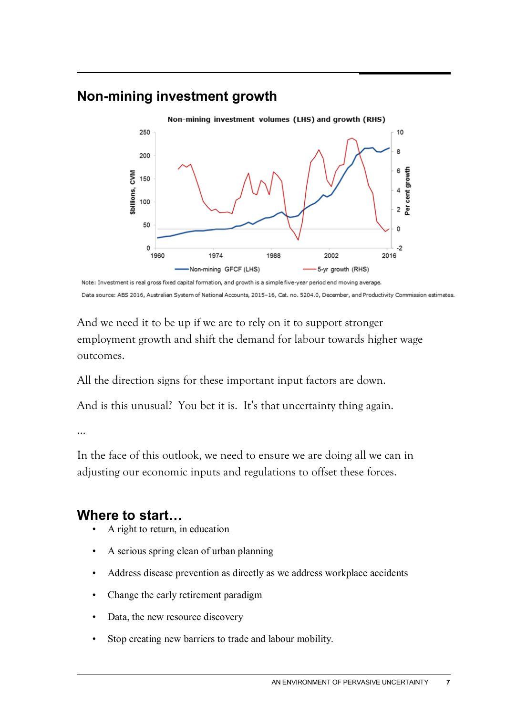## **Non-mining investment growth**



Data source: ABS 2016, Australian System of National Accounts, 2015-16, Cat. no. 5204.0, December, and Productivity Commission estimates.

And we need it to be up if we are to rely on it to support stronger employment growth and shift the demand for labour towards higher wage outcomes.

All the direction signs for these important input factors are down.

And is this unusual? You bet it is. It's that uncertainty thing again.

…

In the face of this outlook, we need to ensure we are doing all we can in adjusting our economic inputs and regulations to offset these forces.

### **Where to start…**

- A right to return, in education
- A serious spring clean of urban planning
- Address disease prevention as directly as we address workplace accidents
- Change the early retirement paradigm
- Data, the new resource discovery
- Stop creating new barriers to trade and labour mobility.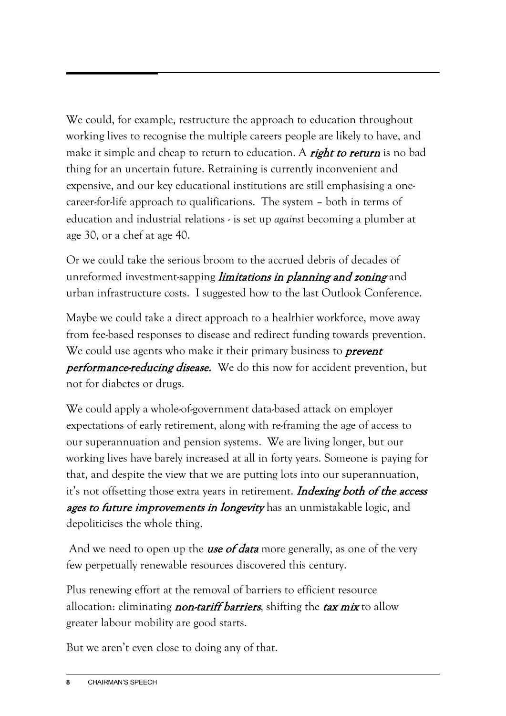We could, for example, restructure the approach to education throughout working lives to recognise the multiple careers people are likely to have, and make it simple and cheap to return to education. A *right to return* is no bad thing for an uncertain future. Retraining is currently inconvenient and expensive, and our key educational institutions are still emphasising a onecareer-for-life approach to qualifications. The system – both in terms of education and industrial relations - is set up *against* becoming a plumber at age 30, or a chef at age 40.

Or we could take the serious broom to the accrued debris of decades of unreformed investment-sapping *limitations in planning and zoning* and urban infrastructure costs. I suggested how to the last Outlook Conference.

Maybe we could take a direct approach to a healthier workforce, move away from fee-based responses to disease and redirect funding towards prevention. We could use agents who make it their primary business to **prevent performance-reducing disease.** We do this now for accident prevention, but not for diabetes or drugs.

We could apply a whole-of-government data-based attack on employer expectations of early retirement, along with re-framing the age of access to our superannuation and pension systems. We are living longer, but our working lives have barely increased at all in forty years. Someone is paying for that, and despite the view that we are putting lots into our superannuation, it's not offsetting those extra years in retirement. *Indexing both of the access* ages to future *improvements in longevity* has an unmistakable logic, and depoliticises the whole thing.

And we need to open up the **use of data** more generally, as one of the very few perpetually renewable resources discovered this century.

Plus renewing effort at the removal of barriers to efficient resource allocation: eliminating *non-tariff barriers*, shifting the  $tax mix$  to allow greater labour mobility are good starts.

But we aren't even close to doing any of that.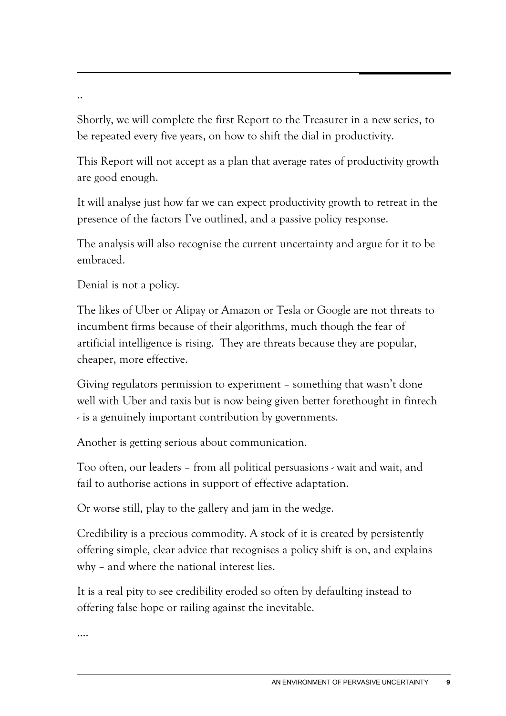..

Shortly, we will complete the first Report to the Treasurer in a new series, to be repeated every five years, on how to shift the dial in productivity.

This Report will not accept as a plan that average rates of productivity growth are good enough.

It will analyse just how far we can expect productivity growth to retreat in the presence of the factors I've outlined, and a passive policy response.

The analysis will also recognise the current uncertainty and argue for it to be embraced.

Denial is not a policy.

The likes of Uber or Alipay or Amazon or Tesla or Google are not threats to incumbent firms because of their algorithms, much though the fear of artificial intelligence is rising. They are threats because they are popular, cheaper, more effective.

Giving regulators permission to experiment – something that wasn't done well with Uber and taxis but is now being given better forethought in fintech - is a genuinely important contribution by governments.

Another is getting serious about communication.

Too often, our leaders – from all political persuasions - wait and wait, and fail to authorise actions in support of effective adaptation.

Or worse still, play to the gallery and jam in the wedge.

Credibility is a precious commodity. A stock of it is created by persistently offering simple, clear advice that recognises a policy shift is on, and explains why – and where the national interest lies.

It is a real pity to see credibility eroded so often by defaulting instead to offering false hope or railing against the inevitable.

….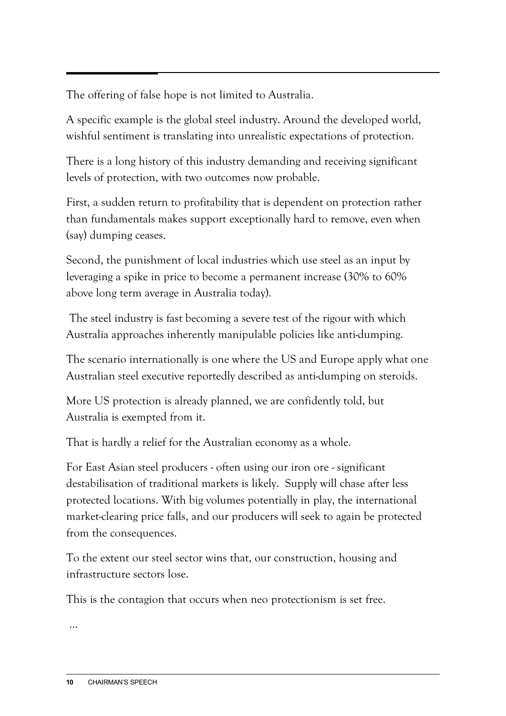The offering of false hope is not limited to Australia.

A specific example is the global steel industry. Around the developed world, wishful sentiment is translating into unrealistic expectations of protection.

There is a long history of this industry demanding and receiving significant levels of protection, with two outcomes now probable.

First, a sudden return to profitability that is dependent on protection rather than fundamentals makes support exceptionally hard to remove, even when (say) dumping ceases.

Second, the punishment of local industries which use steel as an input by leveraging a spike in price to become a permanent increase (30% to 60% above long term average in Australia today).

The steel industry is fast becoming a severe test of the rigour with which Australia approaches inherently manipulable policies like anti-dumping.

The scenario internationally is one where the US and Europe apply what one Australian steel executive reportedly described as anti-dumping on steroids.

More US protection is already planned, we are confidently told, but Australia is exempted from it.

That is hardly a relief for the Australian economy as a whole.

For East Asian steel producers - often using our iron ore - significant destabilisation of traditional markets is likely. Supply will chase after less protected locations. With big volumes potentially in play, the international market-clearing price falls, and our producers will seek to again be protected from the consequences.

To the extent our steel sector wins that, our construction, housing and infrastructure sectors lose.

This is the contagion that occurs when neo protectionism is set free.

…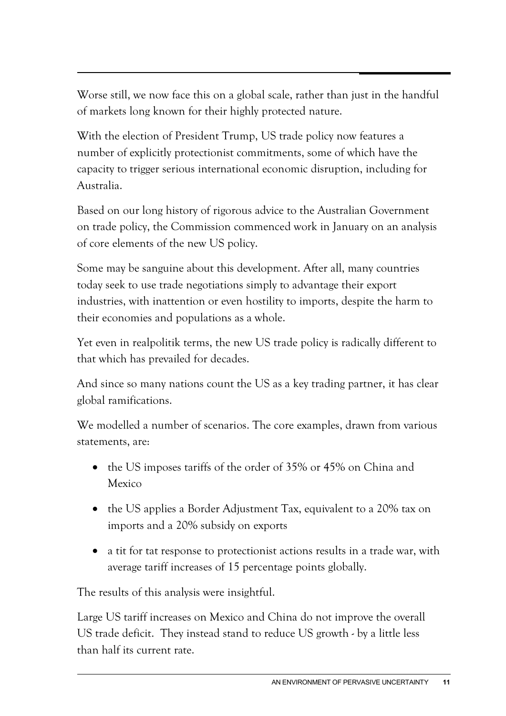Worse still, we now face this on a global scale, rather than just in the handful of markets long known for their highly protected nature.

With the election of President Trump, US trade policy now features a number of explicitly protectionist commitments, some of which have the capacity to trigger serious international economic disruption, including for Australia.

Based on our long history of rigorous advice to the Australian Government on trade policy, the Commission commenced work in January on an analysis of core elements of the new US policy.

Some may be sanguine about this development. After all, many countries today seek to use trade negotiations simply to advantage their export industries, with inattention or even hostility to imports, despite the harm to their economies and populations as a whole.

Yet even in realpolitik terms, the new US trade policy is radically different to that which has prevailed for decades.

And since so many nations count the US as a key trading partner, it has clear global ramifications.

We modelled a number of scenarios. The core examples, drawn from various statements, are:

- the US imposes tariffs of the order of 35% or 45% on China and Mexico
- the US applies a Border Adjustment Tax, equivalent to a 20% tax on imports and a 20% subsidy on exports
- a tit for tat response to protectionist actions results in a trade war, with average tariff increases of 15 percentage points globally.

The results of this analysis were insightful.

Large US tariff increases on Mexico and China do not improve the overall US trade deficit. They instead stand to reduce US growth - by a little less than half its current rate.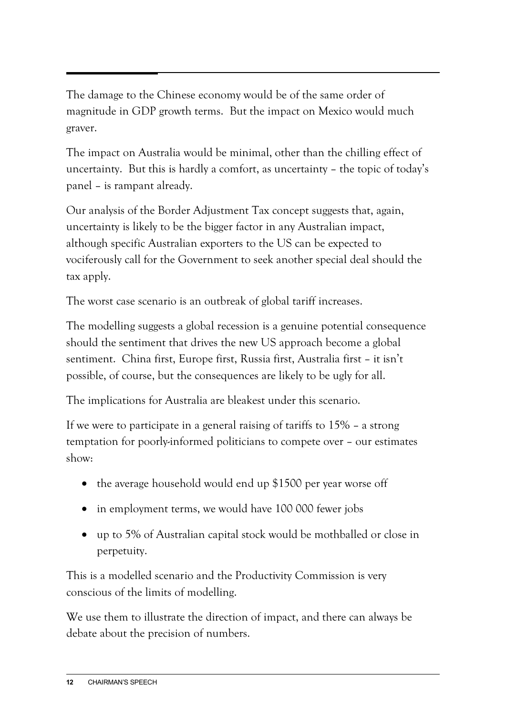The damage to the Chinese economy would be of the same order of magnitude in GDP growth terms. But the impact on Mexico would much graver.

The impact on Australia would be minimal, other than the chilling effect of uncertainty. But this is hardly a comfort, as uncertainty – the topic of today's panel – is rampant already.

Our analysis of the Border Adjustment Tax concept suggests that, again, uncertainty is likely to be the bigger factor in any Australian impact, although specific Australian exporters to the US can be expected to vociferously call for the Government to seek another special deal should the tax apply.

The worst case scenario is an outbreak of global tariff increases.

The modelling suggests a global recession is a genuine potential consequence should the sentiment that drives the new US approach become a global sentiment. China first, Europe first, Russia first, Australia first – it isn't possible, of course, but the consequences are likely to be ugly for all.

The implications for Australia are bleakest under this scenario.

If we were to participate in a general raising of tariffs to 15% – a strong temptation for poorly-informed politicians to compete over – our estimates show:

- the average household would end up \$1500 per year worse off
- in employment terms, we would have 100 000 fewer jobs
- up to 5% of Australian capital stock would be mothballed or close in perpetuity.

This is a modelled scenario and the Productivity Commission is very conscious of the limits of modelling.

We use them to illustrate the direction of impact, and there can always be debate about the precision of numbers.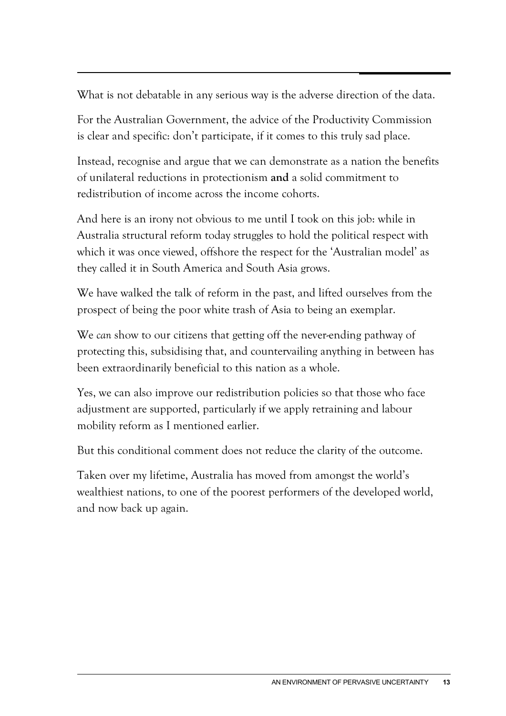What is not debatable in any serious way is the adverse direction of the data.

For the Australian Government, the advice of the Productivity Commission is clear and specific: don't participate, if it comes to this truly sad place.

Instead, recognise and argue that we can demonstrate as a nation the benefits of unilateral reductions in protectionism **and** a solid commitment to redistribution of income across the income cohorts.

And here is an irony not obvious to me until I took on this job: while in Australia structural reform today struggles to hold the political respect with which it was once viewed, offshore the respect for the 'Australian model' as they called it in South America and South Asia grows.

We have walked the talk of reform in the past, and lifted ourselves from the prospect of being the poor white trash of Asia to being an exemplar.

We *can* show to our citizens that getting off the never-ending pathway of protecting this, subsidising that, and countervailing anything in between has been extraordinarily beneficial to this nation as a whole.

Yes, we can also improve our redistribution policies so that those who face adjustment are supported, particularly if we apply retraining and labour mobility reform as I mentioned earlier.

But this conditional comment does not reduce the clarity of the outcome.

Taken over my lifetime, Australia has moved from amongst the world's wealthiest nations, to one of the poorest performers of the developed world, and now back up again.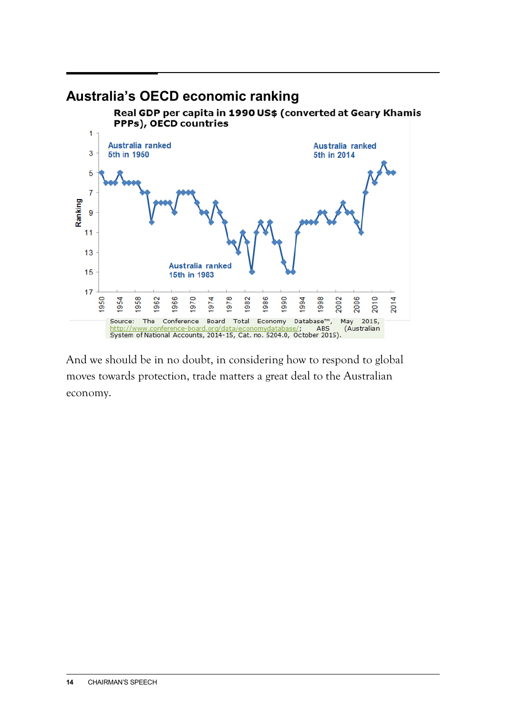

And we should be in no doubt, in considering how to respond to global moves towards protection, trade matters a great deal to the Australian economy.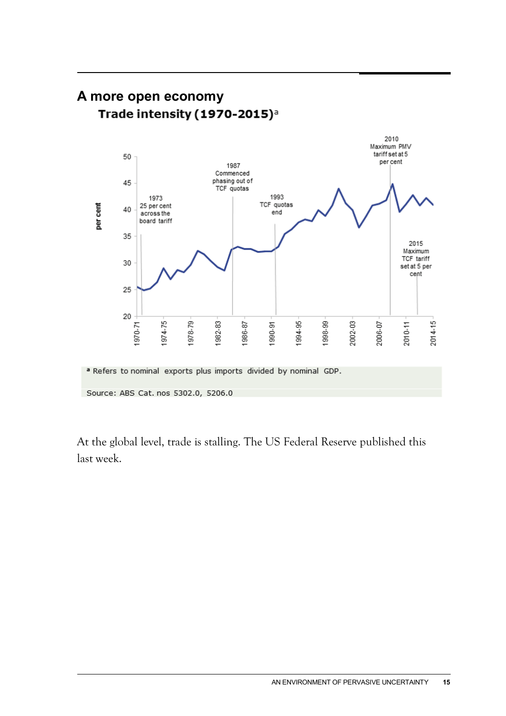

At the global level, trade is stalling. The US Federal Reserve published this last week.

### **A more open economy** Trade intensity (1970-2015)<sup>a</sup>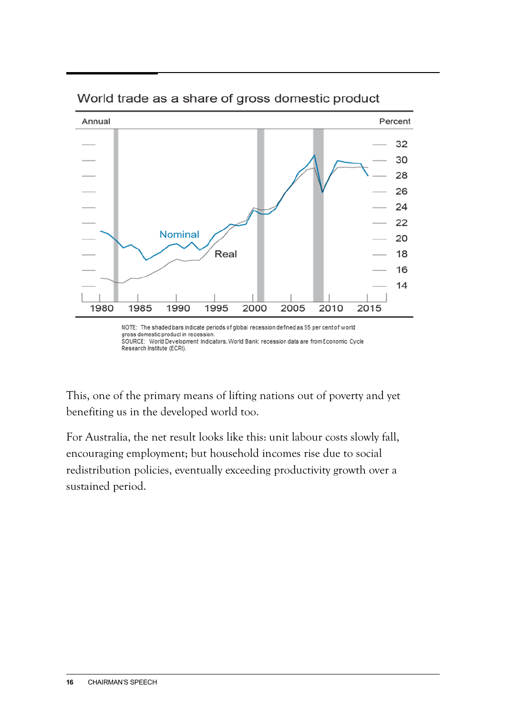

World trade as a share of gross domestic product

gross domestic product in recession. SOURCE: World Development Indicators, World Bank; recession data are from Economic Cycle Research Institute (ECRI).

This, one of the primary means of lifting nations out of poverty and yet benefiting us in the developed world too.

For Australia, the net result looks like this: unit labour costs slowly fall, encouraging employment; but household incomes rise due to social redistribution policies, eventually exceeding productivity growth over a sustained period.